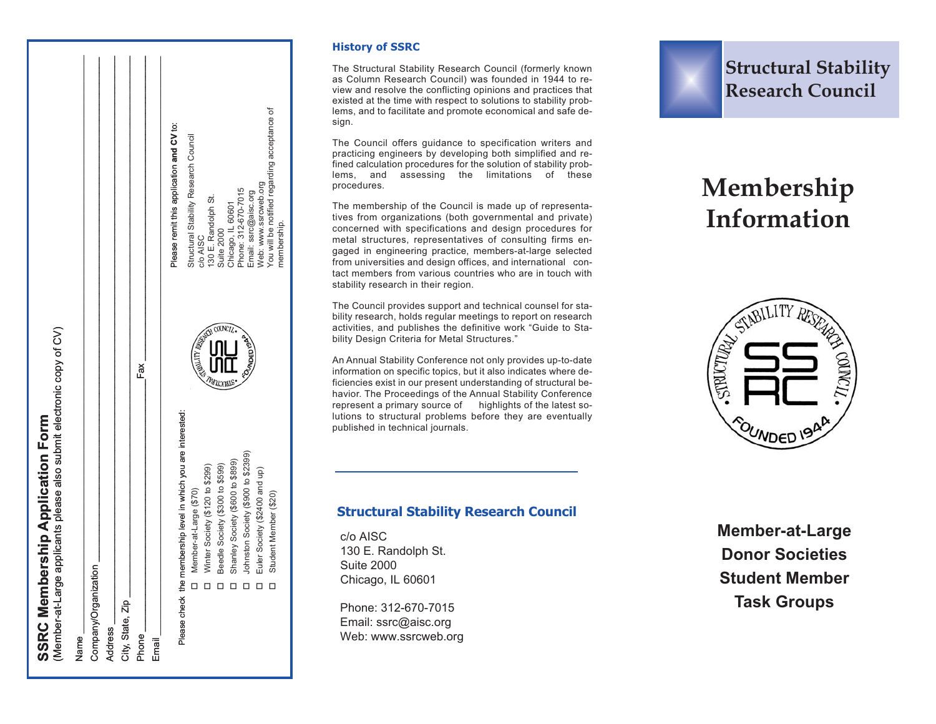| (Member-at-Large     | applicants please also submit electronic copy of CV)<br><b>SSRC Membership Application Form</b> |                   |                                              |
|----------------------|-------------------------------------------------------------------------------------------------|-------------------|----------------------------------------------|
| vame.                |                                                                                                 |                   |                                              |
| Company/Organization | π                                                                                               |                   |                                              |
| Address              |                                                                                                 |                   |                                              |
| City, State, Zip     |                                                                                                 |                   |                                              |
| <b>Phone</b>         |                                                                                                 | Fax               |                                              |
| Email                |                                                                                                 |                   |                                              |
|                      |                                                                                                 |                   | Please remit this application and CV to:     |
|                      | Please check the membership level in which you are interested:                                  |                   |                                              |
|                      | Member-at-Large (\$70)<br>□                                                                     |                   | Structural Stability Research Council        |
|                      | Winter Society (\$120 to \$299)                                                                 |                   | 130 E. Randolph St.<br>C/O AISC              |
|                      | Beedle Society (\$300 to \$599)                                                                 |                   | Suite 2000                                   |
|                      | Shanley Society (\$600 to \$899)                                                                |                   | Chicago, IL 60601                            |
|                      | Johnston Society (\$900 to \$2399)                                                              | <b>VIVDED VON</b> | Phone: 312-670-7015<br>Email: ssrc@aisc.org  |
|                      | Euler Society (\$2400 and up)                                                                   |                   | Web: www.ssrcweb.org                         |
|                      | Student Member (\$20)<br>□                                                                      |                   | You will be notified regarding acceptance of |

### **History of SSRC**

The Structural Stability Research Council (formerly known as Column Research Council) was founded in 1944 to review and resolve the conflicting opinions and practices that existed at the time with respect to solutions to stability problems, and to facilitate and promote economical and safe design.

The Council offers guidance to specification writers and practicing engineers by developing both simplified and refined calculation procedures for the solution of stability problems, and assessing the limitations of these procedures.

The membership of the Council is made up of representatives from organizations (both governmental and private) concerned with specifications and design procedures for metal structures, representatives of consulting firms engaged in engineering practice, members-at-large selected from universities and design offices, and international contact members from various countries who are in touch with stability research in their region.

The Council provides support and technical counsel for stability research, holds regular meetings to report on research activities, and publishes the definitive work "Guide to Stability Design Criteria for Metal Structures."

An Annual Stability Conference not only provides up-to-date information on specific topics, but it also indicates where deficiencies exist in our present understanding of structural behavior. The Proceedings of the Annual Stability Conference represent a primary source of highlights of the latest solutions to structural problems before they are eventually published in technical journals.

# **Structural Stability Research Council**

# **Membership Information**



## **Structural Stability Research Council**

c/o AISC 130 E. Randolph St. Suite 2000 Chicago, IL 60601

 Johnston Society (\$900 to \$2399) Euler Society (\$2400 and up) Student Member (\$20)

Euler Society (\$2400 and up)<br>Student Member (\$20)

membership.

nembership.

Phone: 312-670-7015 Email: ssrc@aisc.org Web: www.ssrcweb.org **Member-at-Large Donor Societies Student Member Task Groups**